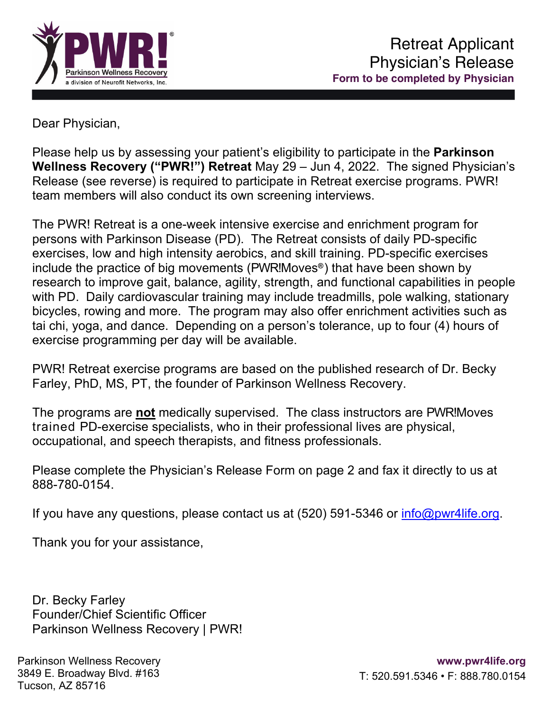

Dear Physician,

Please help us by assessing your patient's eligibility to participate in the **Parkinson Wellness Recovery ("PWR!") Retreat** May 29 – Jun 4, 2022. The signed Physician's Release (see reverse) is required to participate in Retreat exercise programs. PWR! team members will also conduct its own screening interviews.

The PWR! Retreat is a one-week intensive exercise and enrichment program for persons with Parkinson Disease (PD). The Retreat consists of daily PD-specific exercises, low and high intensity aerobics, and skill training. PD-specific exercises include the practice of big movements (PWR!Moves**®**) that have been shown by research to improve gait, balance, agility, strength, and functional capabilities in people with PD. Daily cardiovascular training may include treadmills, pole walking, stationary bicycles, rowing and more. The program may also offer enrichment activities such as tai chi, yoga, and dance. Depending on a person's tolerance, up to four (4) hours of exercise programming per day will be available.

PWR! Retreat exercise programs are based on the published research of Dr. Becky Farley, PhD, MS, PT, the founder of Parkinson Wellness Recovery.

The programs are **not** medically supervised. The class instructors are PWR!Moves trained PD-exercise specialists, who in their professional lives are physical, occupational, and speech therapists, and fitness professionals.

Please complete the Physician's Release Form on page 2 and fax it directly to us at 888-780-0154.

If you have any questions, please contact us at  $(520)$  591-5346 or info@pwr4life.org.

Thank you for your assistance,

Dr. Becky Farley Founder/Chief Scientific Officer Parkinson Wellness Recovery | PWR!

Parkinson Wellness Recovery 3849 E. Broadway Blvd. #163 Tucson, AZ 85716